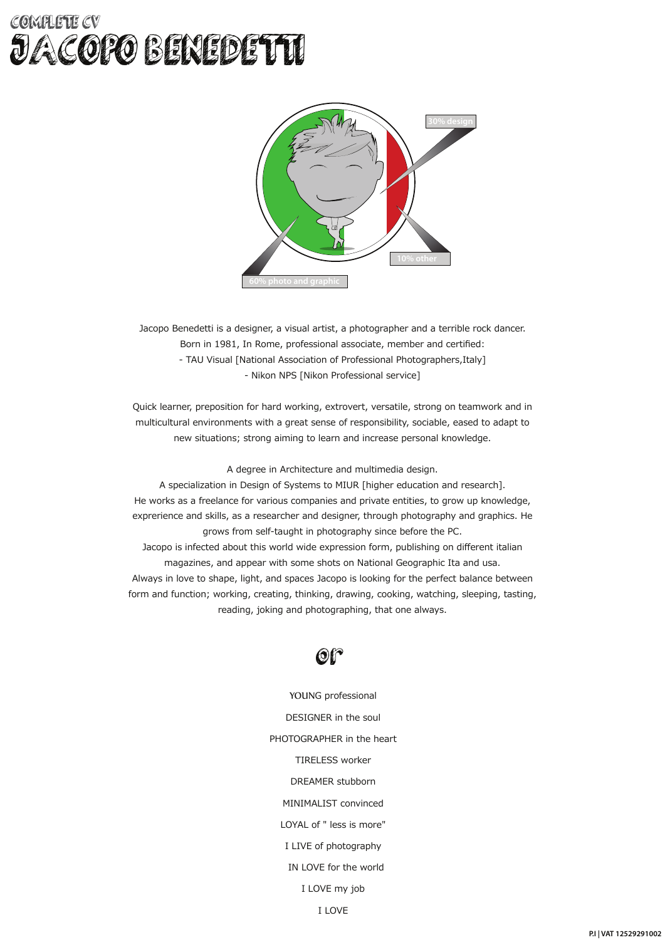### COMPLETE CV JACOPO BENEDETTI



Jacopo Benedetti is a designer, a visual artist, a photographer and a terrible rock dancer. Born in 1981, In Rome, professional associate, member and certified: - TAU Visual [National Association of Professional Photographers,Italy] - Nikon NPS [Nikon Professional service]

Quick learner, preposition for hard working, extrovert, versatile, strong on teamwork and in multicultural environments with a great sense of responsibility, sociable, eased to adapt to new situations; strong aiming to learn and increase personal knowledge.

A degree in Architecture and multimedia design.

A specialization in Design of Systems to MIUR [higher education and research]. He works as a freelance for various companies and private entities, to grow up knowledge, exprerience and skills, as a researcher and designer, through photography and graphics. He grows from self-taught in photography since before the PC. Jacopo is infected about this world wide expression form, publishing on different italian magazines, and appear with some shots on National Geographic Ita and usa. Always in love to shape, light, and spaces Jacopo is looking for the perfect balance between form and function; working, creating, thinking, drawing, cooking, watching, sleeping, tasting, reading, joking and photographing, that one always.



YOUNG professional DESIGNER in the soul PHOTOGRAPHER in the heart TIRELESS worker DREAMER stubborn MINIMALIST convinced LOYAL of " less is more" I LIVE of photography IN LOVE for the world I LOVE my job

I LOVE